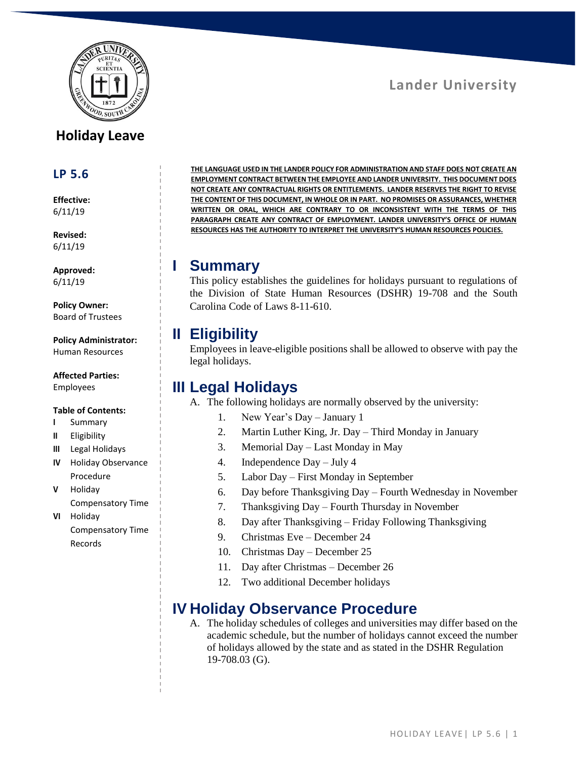

### **Holiday Leave**

#### **LP 5.6**

**Effective:** 6/11/19

**Revised:** 6/11/19

**Approved:** 6/11/19

**Policy Owner:** Board of Trustees

**Policy Administrator:** Human Resources

**Affected Parties:** Employees

#### **Table of Contents:**

- **I** Summary
- **II** Eligibility
- **III** Legal Holidays
- **IV** Holiday Observance Procedure
- **V** Holiday Compensatory Time
- **VI** Holiday Compensatory Time Records

**THE LANGUAGE USED IN THE LANDER POLICY FOR ADMINISTRATION AND STAFF DOES NOT CREATE AN EMPLOYMENT CONTRACT BETWEEN THE EMPLOYEE AND LANDER UNIVERSITY. THIS DOCUMENT DOES NOT CREATE ANY CONTRACTUAL RIGHTS OR ENTITLEMENTS. LANDER RESERVES THE RIGHT TO REVISE THE CONTENT OF THIS DOCUMENT, IN WHOLE OR IN PART. NO PROMISES OR ASSURANCES, WHETHER WRITTEN OR ORAL, WHICH ARE CONTRARY TO OR INCONSISTENT WITH THE TERMS OF THIS PARAGRAPH CREATE ANY CONTRACT OF EMPLOYMENT. LANDER UNIVERSITY'S OFFICE OF HUMAN RESOURCES HAS THE AUTHORITY TO INTERPRET THE UNIVERSITY'S HUMAN RESOURCES POLICIES.**

### **I Summary**

This policy establishes the guidelines for holidays pursuant to regulations of the Division of State Human Resources (DSHR) 19-708 and the South Carolina Code of Laws 8-11-610.

#### **II Eligibility**

Employees in leave-eligible positions shall be allowed to observe with pay the legal holidays.

## **III Legal Holidays**

- A. The following holidays are normally observed by the university:
	- 1. New Year's Day January 1
	- 2. Martin Luther King, Jr. Day Third Monday in January
	- 3. Memorial Day Last Monday in May
	- 4. Independence Day July 4
	- 5. Labor Day First Monday in September
	- 6. Day before Thanksgiving Day Fourth Wednesday in November
	- 7. Thanksgiving Day Fourth Thursday in November
	- 8. Day after Thanksgiving Friday Following Thanksgiving
	- 9. Christmas Eve December 24
	- 10. Christmas Day December 25
	- 11. Day after Christmas December 26
	- 12. Two additional December holidays

# **IV Holiday Observance Procedure**

A. The holiday schedules of colleges and universities may differ based on the academic schedule, but the number of holidays cannot exceed the number of holidays allowed by the state and as stated in the DSHR Regulation 19-708.03 (G).

# **Lander University**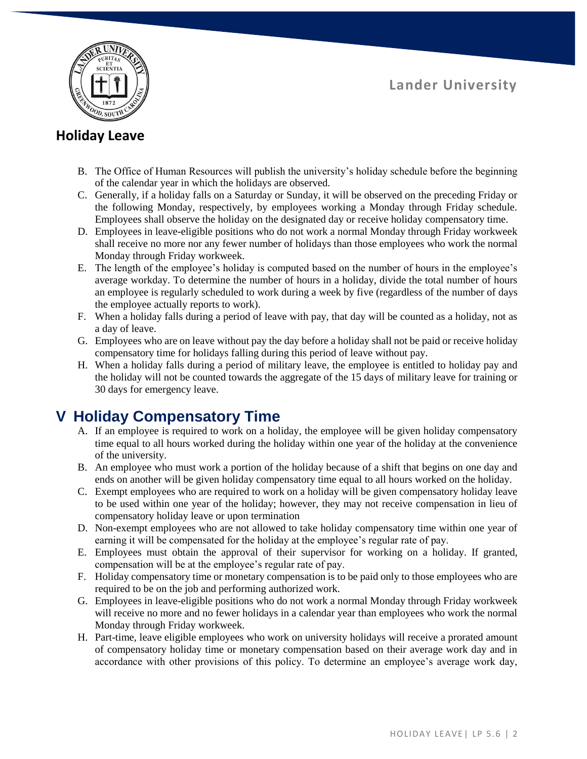### **Lander University**



### **Holiday Leave**

- B. The Office of Human Resources will publish the university's holiday schedule before the beginning of the calendar year in which the holidays are observed.
- C. Generally, if a holiday falls on a Saturday or Sunday, it will be observed on the preceding Friday or the following Monday, respectively, by employees working a Monday through Friday schedule. Employees shall observe the holiday on the designated day or receive holiday compensatory time.
- D. Employees in leave-eligible positions who do not work a normal Monday through Friday workweek shall receive no more nor any fewer number of holidays than those employees who work the normal Monday through Friday workweek.
- E. The length of the employee's holiday is computed based on the number of hours in the employee's average workday. To determine the number of hours in a holiday, divide the total number of hours an employee is regularly scheduled to work during a week by five (regardless of the number of days the employee actually reports to work).
- F. When a holiday falls during a period of leave with pay, that day will be counted as a holiday, not as a day of leave.
- G. Employees who are on leave without pay the day before a holiday shall not be paid or receive holiday compensatory time for holidays falling during this period of leave without pay.
- H. When a holiday falls during a period of military leave, the employee is entitled to holiday pay and the holiday will not be counted towards the aggregate of the 15 days of military leave for training or 30 days for emergency leave.

# **V Holiday Compensatory Time**

- A. If an employee is required to work on a holiday, the employee will be given holiday compensatory time equal to all hours worked during the holiday within one year of the holiday at the convenience of the university.
- B. An employee who must work a portion of the holiday because of a shift that begins on one day and ends on another will be given holiday compensatory time equal to all hours worked on the holiday.
- C. Exempt employees who are required to work on a holiday will be given compensatory holiday leave to be used within one year of the holiday; however, they may not receive compensation in lieu of compensatory holiday leave or upon termination
- D. Non-exempt employees who are not allowed to take holiday compensatory time within one year of earning it will be compensated for the holiday at the employee's regular rate of pay.
- E. Employees must obtain the approval of their supervisor for working on a holiday. If granted, compensation will be at the employee's regular rate of pay.
- F. Holiday compensatory time or monetary compensation is to be paid only to those employees who are required to be on the job and performing authorized work.
- G. Employees in leave-eligible positions who do not work a normal Monday through Friday workweek will receive no more and no fewer holidays in a calendar year than employees who work the normal Monday through Friday workweek.
- H. Part-time, leave eligible employees who work on university holidays will receive a prorated amount of compensatory holiday time or monetary compensation based on their average work day and in accordance with other provisions of this policy. To determine an employee's average work day,